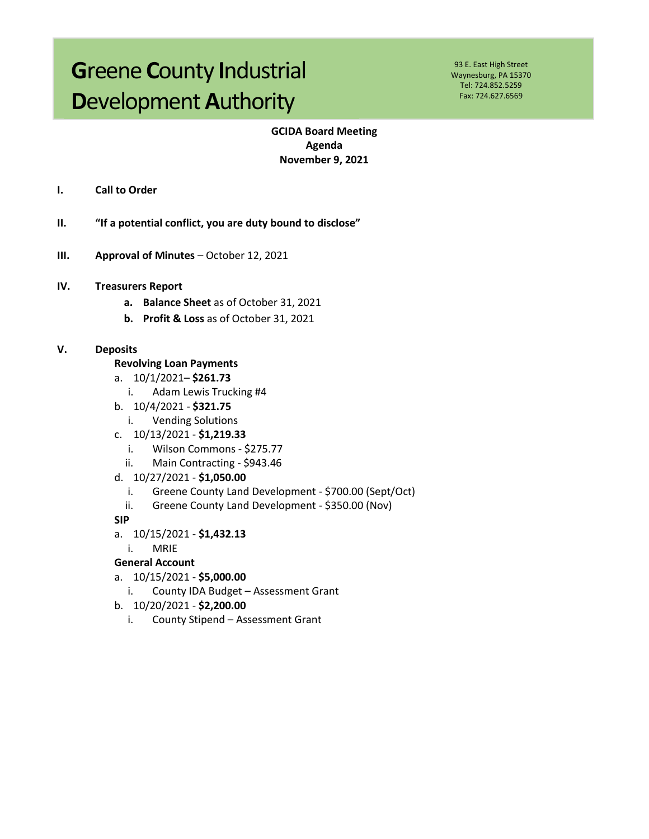# **Greene County Industrial Development Authority**

93 E. East High Street Waynesburg, PA 15370 Tel: 724.852.5259 Fax: 724.627.6569

# **GCIDA Board Meeting** Agenda **November 9, 2021**

- I. **Call to Order**
- П. "If a potential conflict, you are duty bound to disclose"
- $III.$ Approval of Minutes - October 12, 2021
- IV. **Treasurers Report** 
	- a. Balance Sheet as of October 31, 2021
	- b. Profit & Loss as of October 31, 2021

#### V. **Deposits**

- **Revolving Loan Payments**
- a.  $10/1/2021 $261.73$ 
	- Adam Lewis Trucking #4  $\mathbf{i}$ .
- b.  $10/4/2021 $321.75$ 
	- i. Vending Solutions
- c.  $10/13/2021 $1,219.33$ 
	- Wilson Commons \$275.77  $i.$
	- Main Contracting \$943.46 ii.
- d. 10/27/2021 \$1,050.00
	- Greene County Land Development \$700.00 (Sept/Oct)  $i$ .
	- ii. Greene County Land Development - \$350.00 (Nov)

**SIP** 

- a.  $10/15/2021 $1,432.13$ 
	- $\mathbf{i}$ . **MRIE**

#### **General Account**

- a.  $10/15/2021 $5,000.00$ 
	- i. County IDA Budget - Assessment Grant
- b. 10/20/2021 \$2,200.00
	- $i$ . County Stipend - Assessment Grant